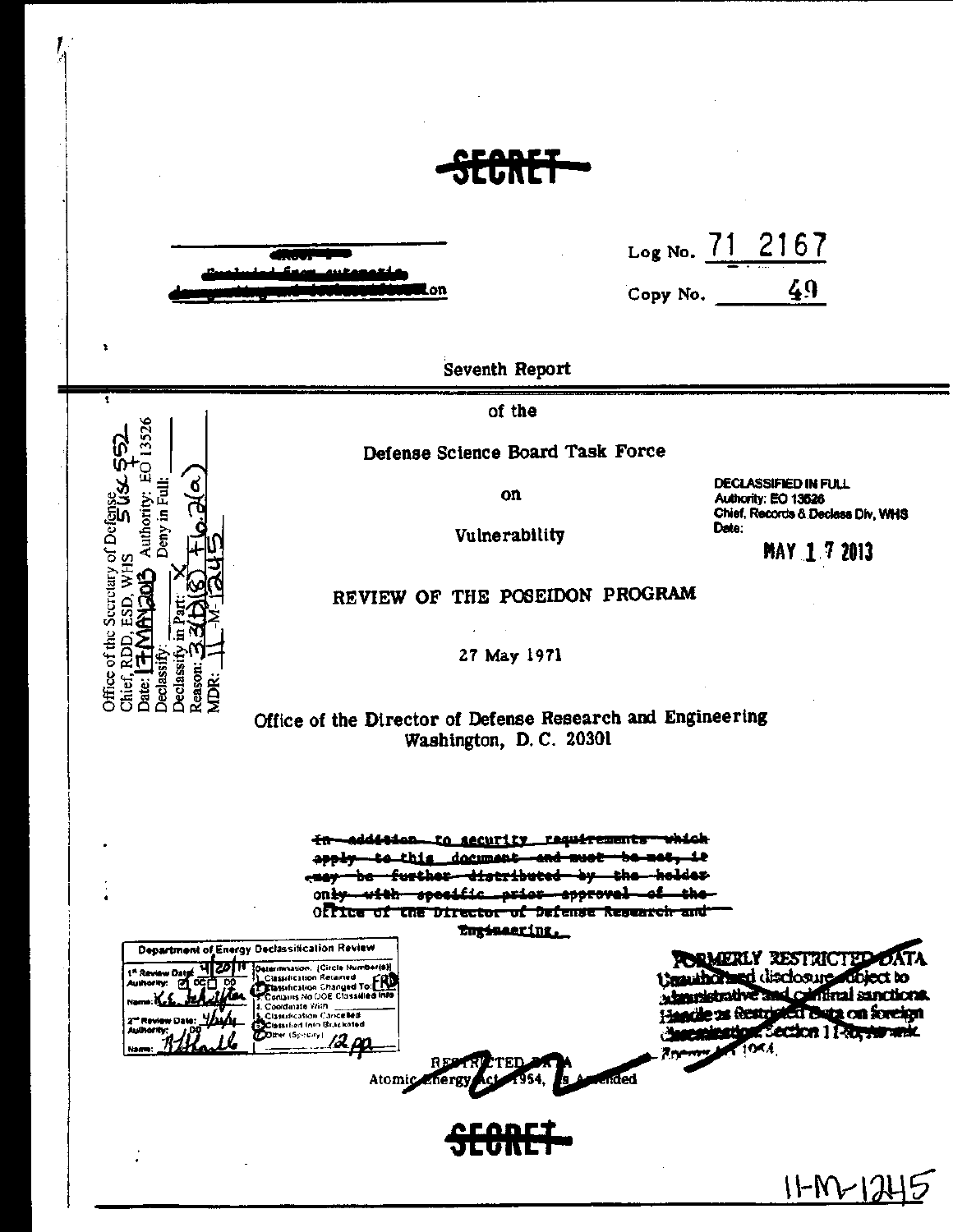۵n.

x

Ŧ

55)

Office of the Secretary of Defens

Chief, RDD, ESD, WHS<br>Date: [<del>T: MANGOL]</del> A

13526

Authority: EC

Deny in Ful

Declassify Declassi Reason ДŘ

| LogNo. 71 2167 |  |  |
|----------------|--|--|
|                |  |  |

49 Copy No.

**Seventh Report** 

of the

Defense Science Board Task Force

on

Vulnerability

**DECLASSIFIED IN FULL** Authority: EO 13526 Chief, Records & Declass Div, WHS Date:

MAY 17 2013

REVIEW OF THE POSEIDON PROGRAM

27 May 1971

Office of the Director of Defense Research and Engineering Washington, D.C. 20301

addition to security requirements طملطوب ÷n te this document and must جاووه further<del>-distributed-by</del> حماسلمط —the— <del>uith specific prior spprovel of the</del> on <del>ky</del> Office of the Director of Defense Research and Enginearing. Department of Energy Declassification Review Determination, (Circle Numberts)<br>
2. Classification Retained<br>
2. Classification Changed To Final<br>
2. Contains No (DOE Chassified Info<br>
4. Coordinate Win<br>
2. Classification Cancelled<br>
2. Classification Chacketed<br>
2. Classif **PORMERLY RESTRICTED** disclosure dibject to **Ugauthors** a haundstrative and conflinal sanctions. Handle as Bestricted Bara on foreign **KSection 1 Re<del>cess</del> ank** فانتقاضهم 12 pp Direr (Specify) ided Atomic Linerg  $IFM$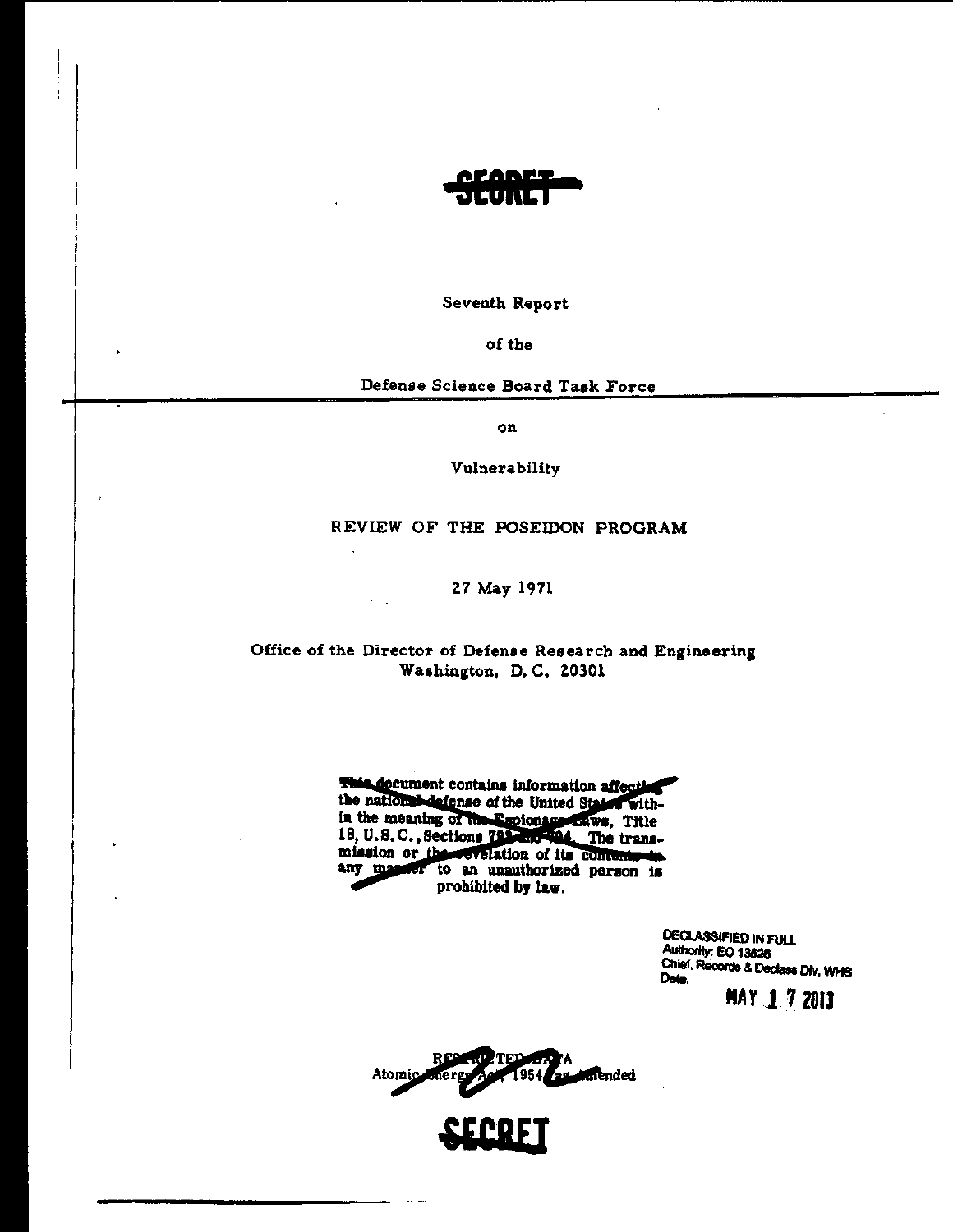

Seventh Report

of the

Defense Science Board Task Force

on

Vulnerability

REVIEW OF THE POSEIDON PROGRAM

27 May 1971

### Office of the Director of Defense Research and Engineering Washington, D.C. 20301

This document contains information affecting the national defense of the United States within the meaning of the Empioneer Laws, Title 18, U.S.C., Sections 793-200-904. The transmission or these evaluation of its contenuous any masser to an unauthorized person is prohibited by law.

> DECLASSIFIED IN FULL Authority: EO 13526 Chief, Records & Declass Div, WHS Date:

MAY 172013

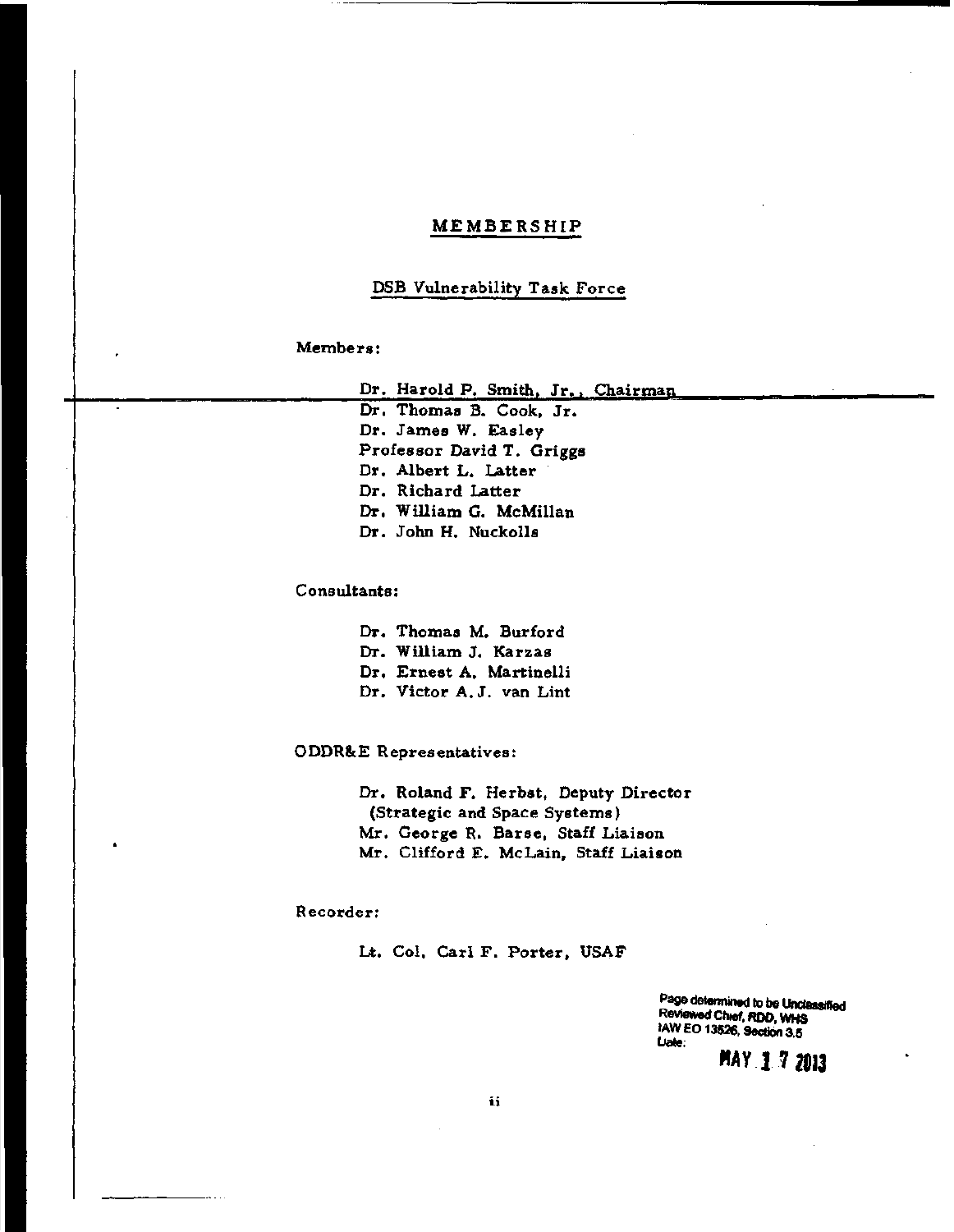### MEMBERSHIP

### DSB Vulnerability Task Force

### Members:

Dr. Harold P. Smith, Jr., Chairman

Dr. Thomas B. Cook, Jr. Dr. James W. Easley Professor David T. Griggs Dr. Albert L. Latter Dr. Richard Latter Dr. William G. McMillan Dr. John H. Nuckolls

Consultants:

Dr. Thomas M. Burford Dr. William J. Karzas Dr. Ernest A. Martinelli Dr. Victor A. J. van Lint

ODDR&E Representatives:

Dr. Roland F. Herbst, Deputy Director (Strategic and Space Systems) Mr. George R. Barse, Staff Liaison Mr. Clifford E. McLain, Staff Liaison

### Recorder:

Lt. Col. Carl F. Porter, USAF

Page determined to be Unclassified ReVIewed Chief. ROD. WHS 1AW EO 13526, Section 3.5 (Jate:

FTAY 17 2013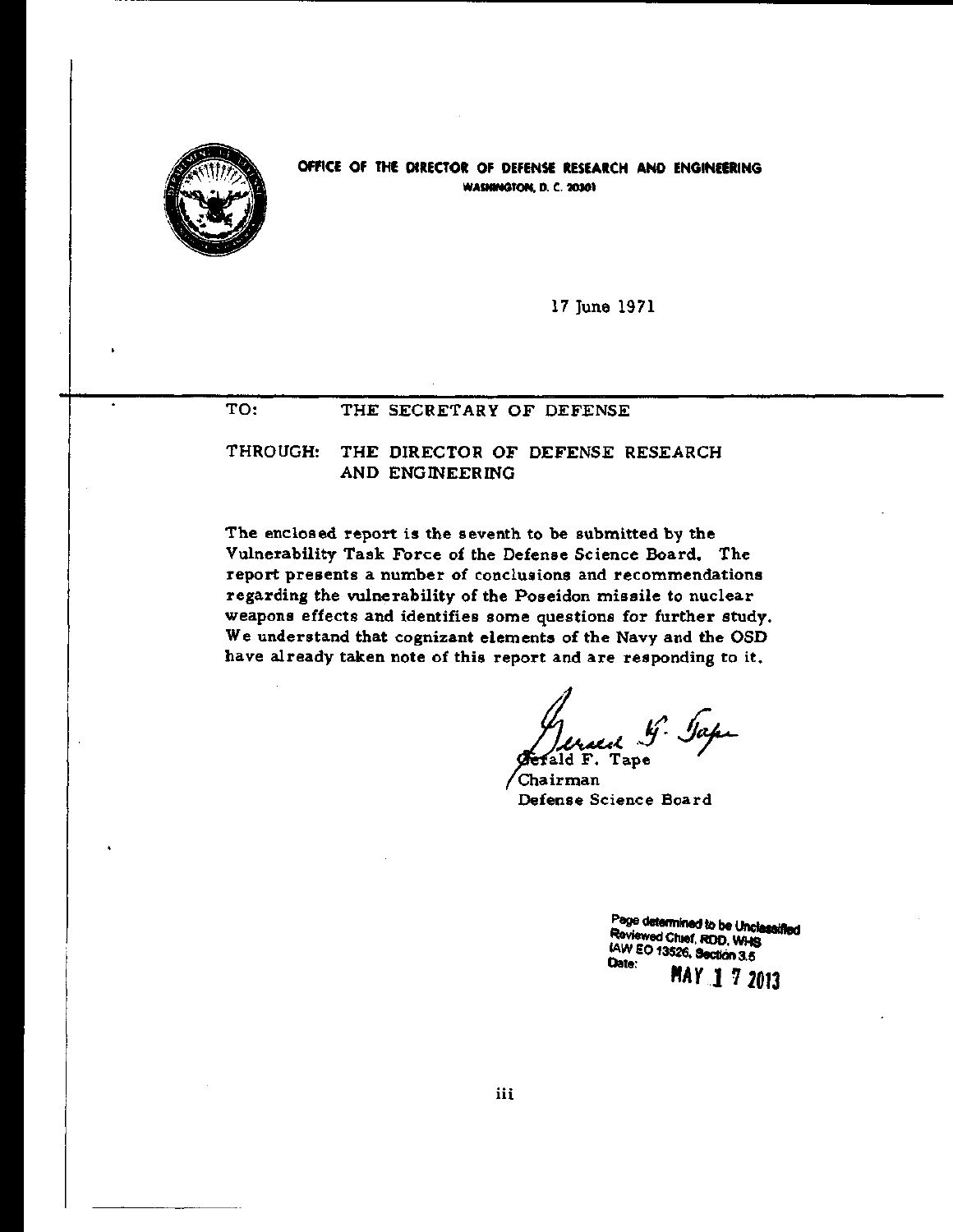

OFfiCE Of THE DIRECTOR OF DEFENSE RESEARCH AND ENGINEERING WASHINGTON. D. C. 20301

17 June 1971

### TO: THE SECRETARY OF DEFENSE

THROUGH: THE DIRECTOR OF DEFENSE RESEARCH AND ENGINEERING

The enclosed report is the seventh to be submitted by the Vulnerability Task Force of the Defense Science Board. The report presents a number of conclusions and recommendations regarding the vulnerability of the Poseidon missile to nuclear weapons effects and identifies some questions for further study. We understand that cognizant elements of the Navy and the OSD have already taken note of this report and are responding to it.

d G. Japi

Chairman Defense Science Board

Page determined to be Unclassified Reviewed ChIef. ROD. WHs **IAW EO 13526. Section 3.5** 

*"AY* J 7 2013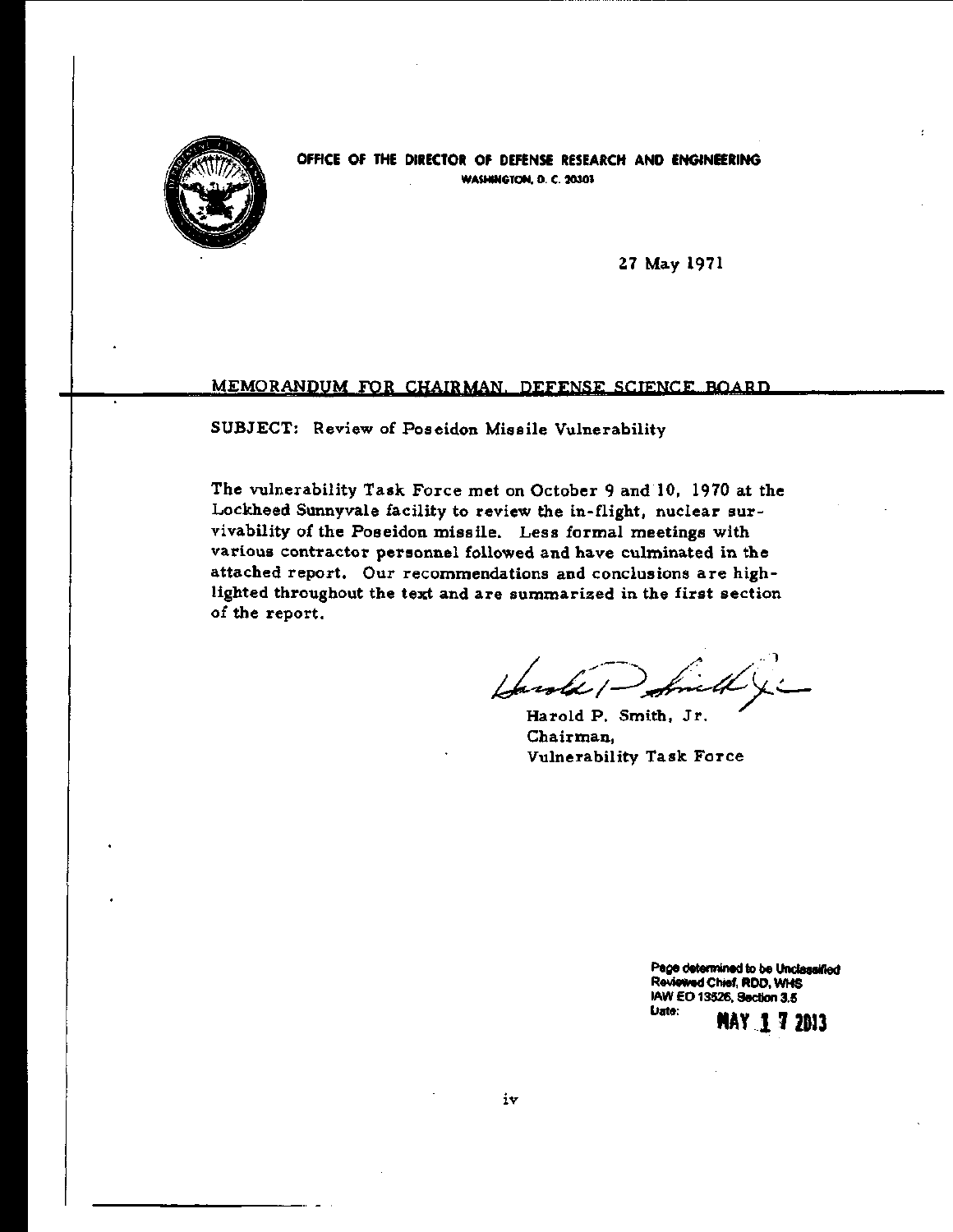

OFFICE OF THE DIRECTOR OF DEFENSE RESEARCH AND ENGINEERING WASHINGTON. D. C. 20301

Z7 May 1971

### MEMORANDUM FOR CHAIRMAN. DEFENSE SCIENCE BOARD

SUBJECT: Review of Poseidon Missile Vulnerability

The vulnerability Task Force met on October 9 and 10, 1970 at the Lockheed Sunnyvale facility to review the in-flight, nuclear survivability of the Poseidon missile. Less formal meetings with various contractor personnel followed and have culminated in the attached report. Our recommendations and conclusions are highlighted throughout the text and are summarized in the first section of the report.

Harold P. Smith, Jr. Chairman, Vulnerability Task Force

Page determined to be Undassified ReYieWed Chief, RDD, WHS lAW EO 13526, Section 3.5 lJete: **MAY.l 7** 2113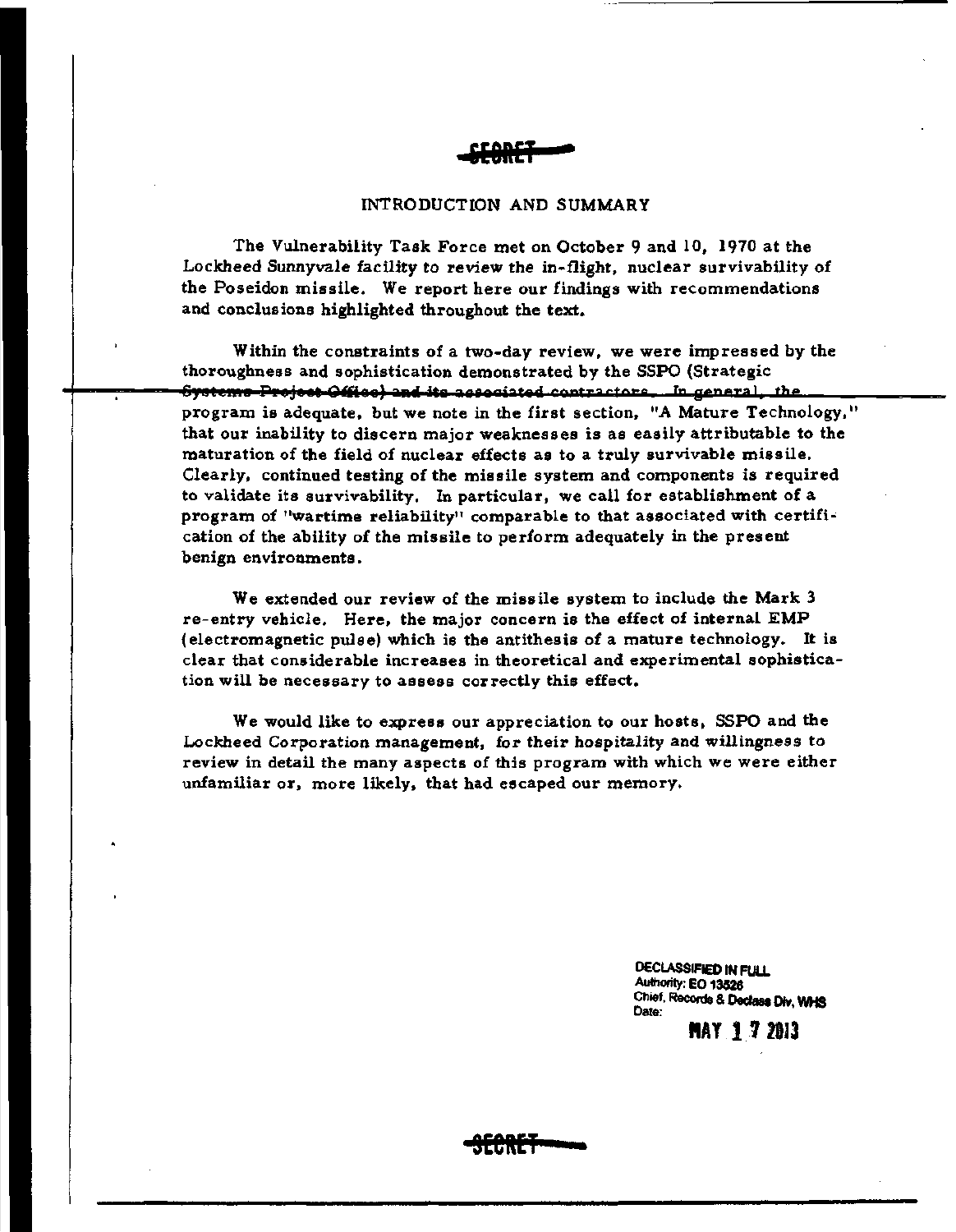

### INTRODUCTION AND SUMMARY

The Vulnerability Task Force met on October 9 and 10, 1910 at the Lockheed Sunnyvale facility to review the in-flight, nuclear survivability of the Poseidon missile. We report here our findings with recommendations and conclusions highlighted throughout the text.

Within the constraints of a two-day review, we were impressed by the thoroughness and sophistication demonstrated by the SSPO (StrategiC <del>Systems Project Office) and its associated contractors. In general, the </u></del> program is adequate, but we note in the first section, "A Mature Technology," that our inability to discern major weaknesses is as easily attributable to the maturation of the field of nuclear effects as to a truly survivable missile. Clearly, continued testing of the missile system and components is required to validate its survivability. In particular, we call for establishment of a program of "wartime reliability" comparable to that associated with certification of the ability of the missile to perform adequately in the present benign environments.

We extended our review of the missile system to include the Mark 3 re-entry vehicle. Here, the major concern is the effect of internal EMP (electromagnetic pulse) which is the antithesis of a mature technology. It is clear that considerable increases in theoretical and experimental sophistication will be necessary to assess correctly this effect.

We would like to express our appreciation to our hosts. SSPO and the Lockheed Corporation management, for their hospitality and willingness to review in detail the many aspects of this program with which we were either unfamiliar or, more likely. that had escaped our memory.

> DECLASSIFIED IN FULL Authority: EO 13526 Chief, Records & 0ecIass DIv. WHS Date:

> > **flAY 172813**

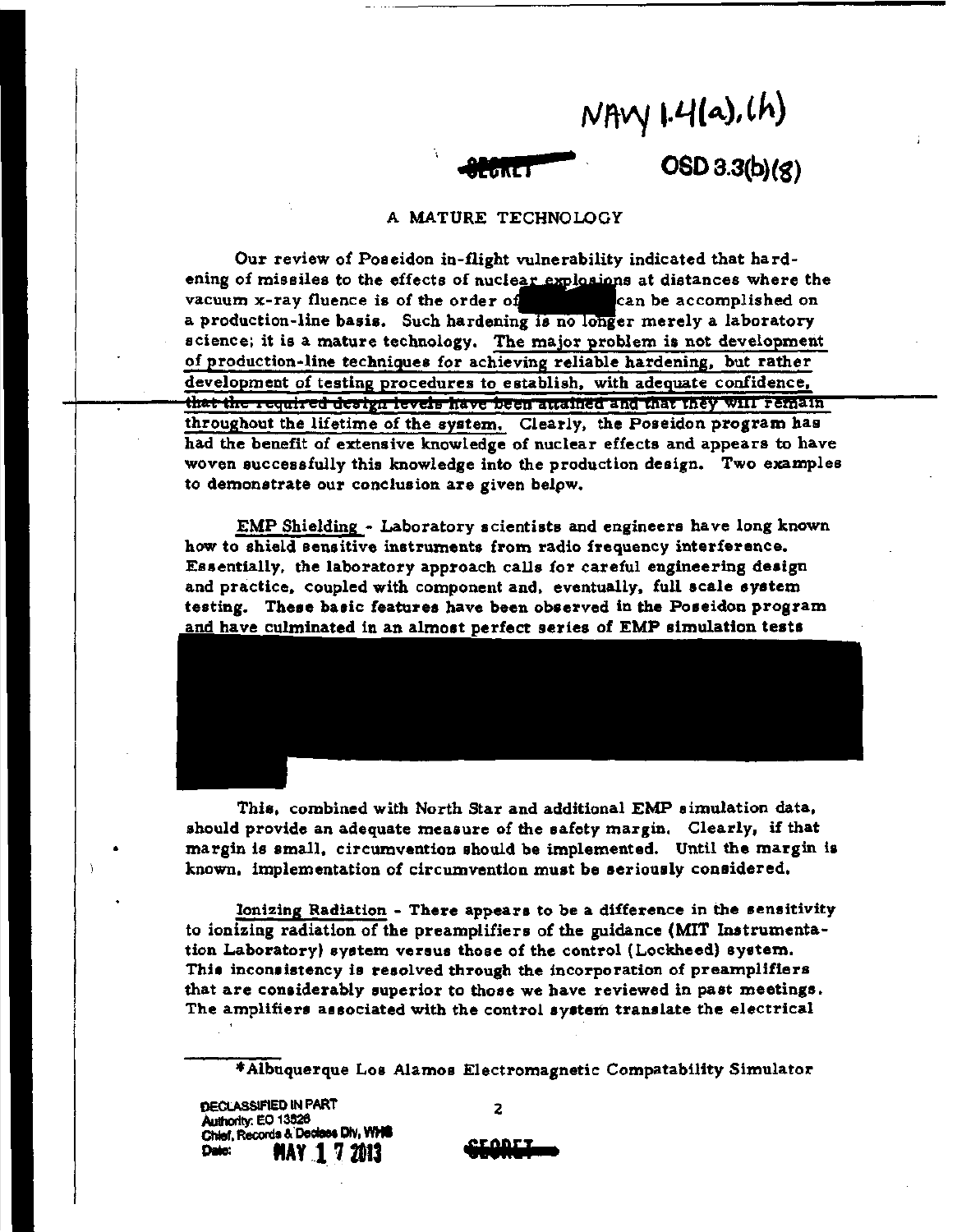**NAV 1.4(a),(h)**<br>CREI OSD 3.3(b)(8)

### A MATURE TECHNOLOGY

Our review of Poseidon in-flight vulnerability indicated that hardening of missiles to the effects of nuclear explosions at distances where the vacuum x-ray fluence is of the order of state accomplished on a production-line basis. Such hardening is no longer merely a laboratory science; it is a mature technology. The major problem is not development of production-line techniques for achieving reliable hardening, but rather development of testing procedures to establish. with adequate confidence, that the required design levels have been attained and that they will remain throughout the lifetime of the system. Clearly, the Poseidon program has had the benefit of extensive knowledge of nuclear effects and appears to have woven successfully this knowledge into the production design. Two examples to demonstrate our conclusion are given belpw.

EMP Shielding - Laboratory scientists and engineers have long known how to shield sensitive instruments from radio frequency interference. Essentially, the laboratory approach calls for careful engineering design and practice, coupled with component and. eventually. full scale system testing. These basic features have been observed in the Poseidon program and have culminated in an almost perfect series of EMP simulation tests

This, combined with North Star and additional EMP simulation data, should provide an adequate measure of the safety margin. Clearly, if that margin is small. circumvention should be implemented. Until the margin is known, implementation of circumvention must be seriously considered.

Ionizing Radiation - There appears to be a difference in the sensitivity to ionizing radiation of the preamplifiers of the guidance (MIT Instrumentation Laboratory) system versus those of the control (Lockheed) system. This inconsistency is resolved through the incorporation of preamplifiers that are considerably superior to those we have reviewed in past meetings. The amplifiers associated with the control system translate the electrical

\*Albuquerque Los Alamos Electromagnetic Compatability Simulator

DECLASSIFIED IN PART AuthorIty: EO 13526 Chief, Records & Decises Div, WHIS Date: **flAY 1 7 ZD13** 

2

**[EGAET**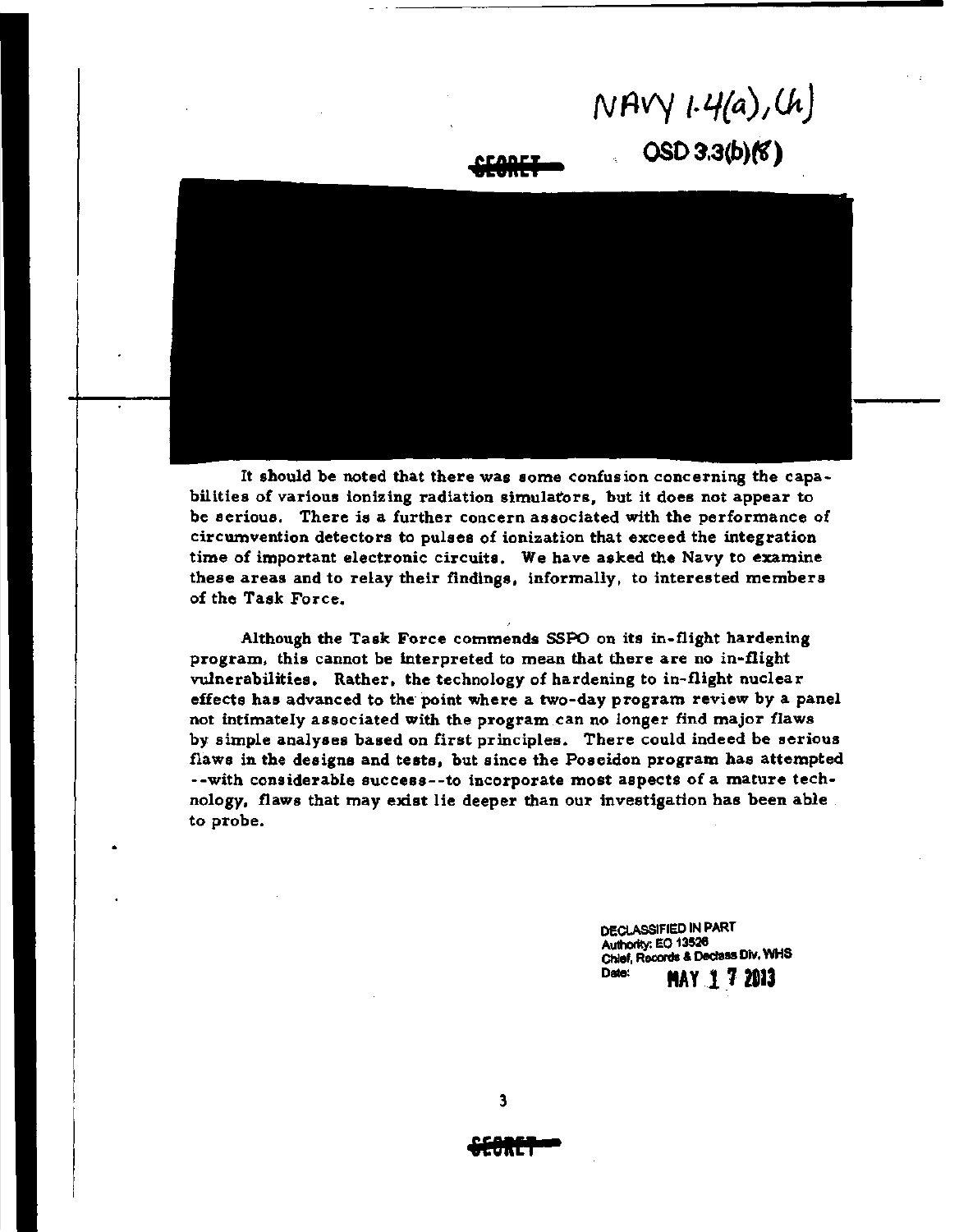# *NAVY /·4{a),Ut)*   $OSD 3.3(b)(6)$





It should be noted that there was some confusion concerning the capabilities of various ionizing radiation simulators. but it does not appear to be serious. There is a further concern associated with the performance of circumvention detectors to pulses of ionization that exceed the integration time of important electronic circuits. We have asked the Navy to examine these areas and to relay their findings. informally, to interested members of the Task Force.

Although the Task Force commends SSPO on its in-flight hardening program. this cannot be interpreted to mean that there are no in-flight vulnerabilities. Rather. the technology of hardening to in-flight nuclear effects has advanced to the point where a two-day program review by a panel not intimately associated with the program can no longer find major flaws by simple analyses based on first principles. There could indeed be serious flaws in the designs and tests. but since the Poseidon program has attempted --with considerable success--to incorporate most aspects of a mature technology. flaws that may exist lie deeper than our investigation has been able . to probe.

> DECLASSIFIED IN PART Authority: EO 13526 Chief, Records & Declass DIY, WHS Date: **MAY 17 2013**

**ifeKEI**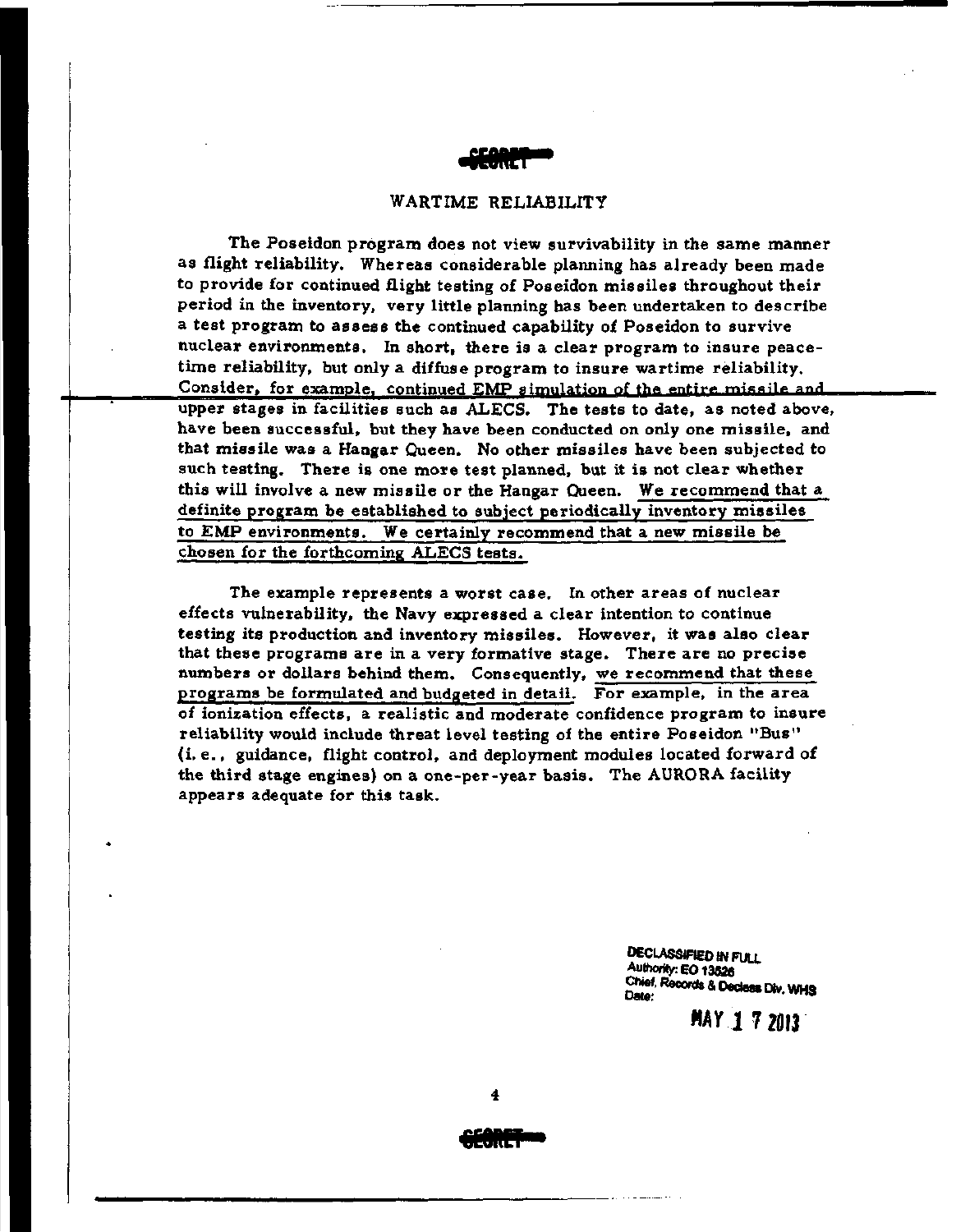

### WARTIME RELIABILITY

The Poseidon program does not view survivability in the same manner as flight reliability. Whereas considerable planning has already been made to provide for continued flight testing of Poseidon missiles throughout their period in the inventory, very little planning has been undertaken to describe a test program to assess the continued capability of Poseidon to survive nuclear environments. In short, there is a clear program to insure peacetime reliability, but only a diffuse program to insure wartime reliability. Consider, for example, continued EMP simulation of the entire missile and. upper stages in facilities such as ALECS. The tests to date, as noted above, have been successful, but they have been conducted on only one missile, and that missile was a Hangar Queen. No other missiles have been subjected to such testing. There is one more test planned, but it is not clear whether this will involve a new missile or the Hangar Queen. We recommend that a definite program be established to subject periodically inventory missiles to EMF environments. We certainly recommend that a new missile be chosen for the forthcoming ALECS tests.

The example represents a worst case. In other areas of nuclear effects vulnerability, the Navy expressed a clear intention to continue testing its production and inventory missiles. However. it was also clear that these programs are in a very formative stage. There are no precise numbers or dollars behind them. Consequently, we recommend that these programs be formulated and budgeted in detail. For example, in the area of ionization effects, a realistic and moderate confidence program to insure reliability would include threat level testing of the entire Poseidon "Bus" (i. e., guidance, flight control, and deployment modules located forward of the third stage engines) on a one-per-year basis. The AURORA facility appears adequate for this task.

> DECLASSIFIED IN FUll Authority: EO 13526 Chief, Records & Declass Div. WHS

> > *MAYI* 72013·

**.ORS**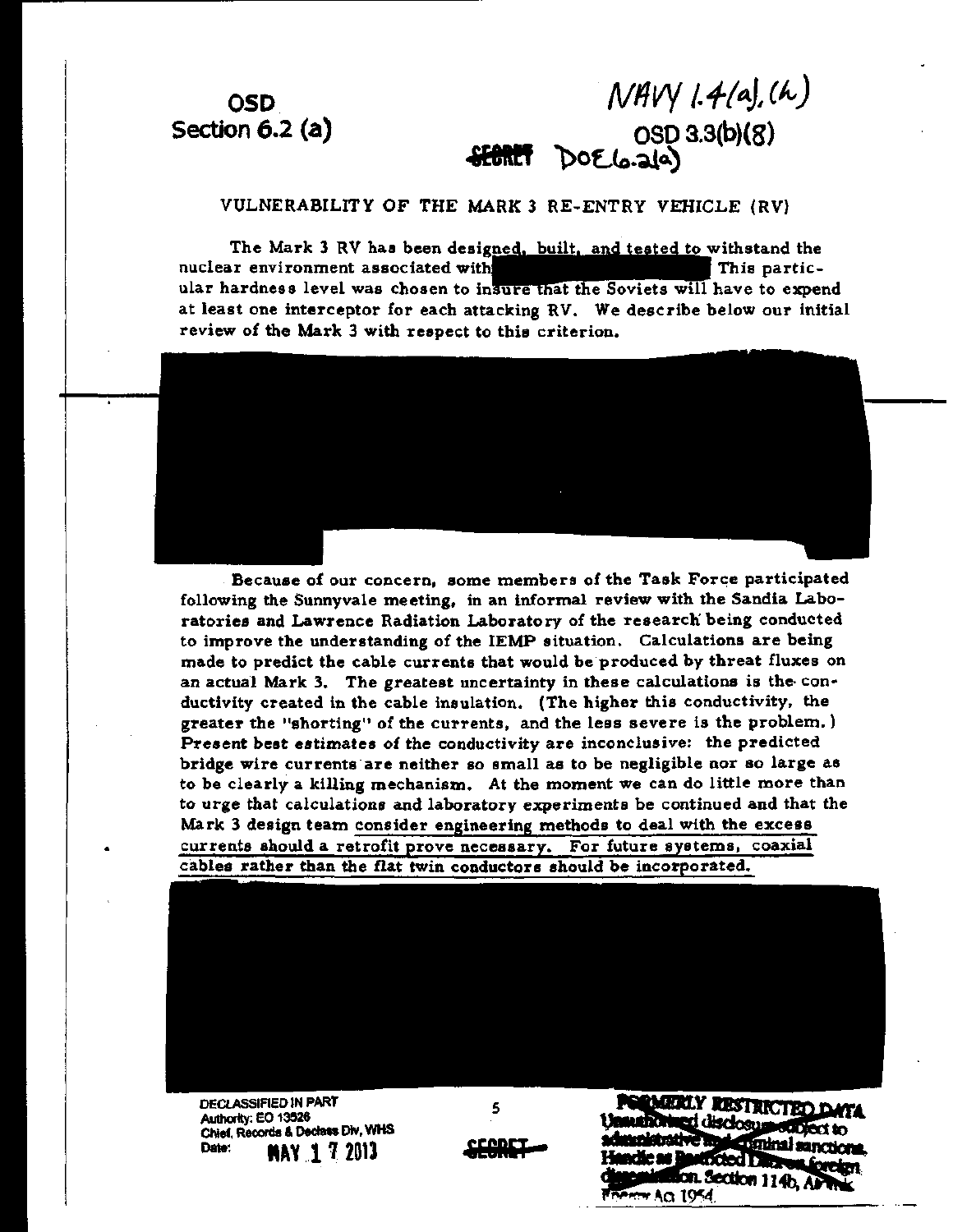## **OSD** Section  $6.2$  (a)

 $NAVY$  1.4(a), (h) OSD 3.3(b)(8)

VULNERABILITY OF THE MARK 3 RE-ENTRY VEHICLE (RV)

The Mark 3 RV has been designed, built, and tested to withstand the nuclear environment associated with This particular hardness level was chosen to insure that the Soviets will have to expend at least one interceptor for each attacking RV. We describe below our initial review of the Mark 3 with respect to this criterion.



Because of our concern, some members of the Task Force participated following the Sunnyvale meeting, in an informal review with the Sandia Laboratories and Lawrence Radiation Laboratory of the research being conducted to improve the understanding of the IEMP situation. Calculations are being made to predict the cable currents that would be produced by threat fluxes on an actual Mark 3. The greatest uncertainty in these calculations is the conductivity created in the cable insulation. (The higher this conductivity, the greater the "shorting" of the currents, and the less severe is the problem.) Present best estimates of the conductivity are inconclusive: the predicted bridge wire currents are neither so small as to be negligible nor so large as to be clearly a killing mechanism. At the moment we can do little more than to urge that calculations and laboratory experiments be continued and that the Mark 3 design team consider engineering methods to deal with the excess currents should a retrofit prove necessary. For future systems, coaxial cables rather than the flat twin conductors should be incorporated.



**DECLASSIFIED IN PART** Authority: EO 13526 Chief, Records & Declass Div, WHS Date: **MAY 1 7 2013** 

<u>econct</u>

5

**RMERLY RESTRICTED DATA** ed disclosus subject to anative 1 **Expiral sanctions**, **Kied Director** ioreton, n. Section 114b. APT Ferry AG 1954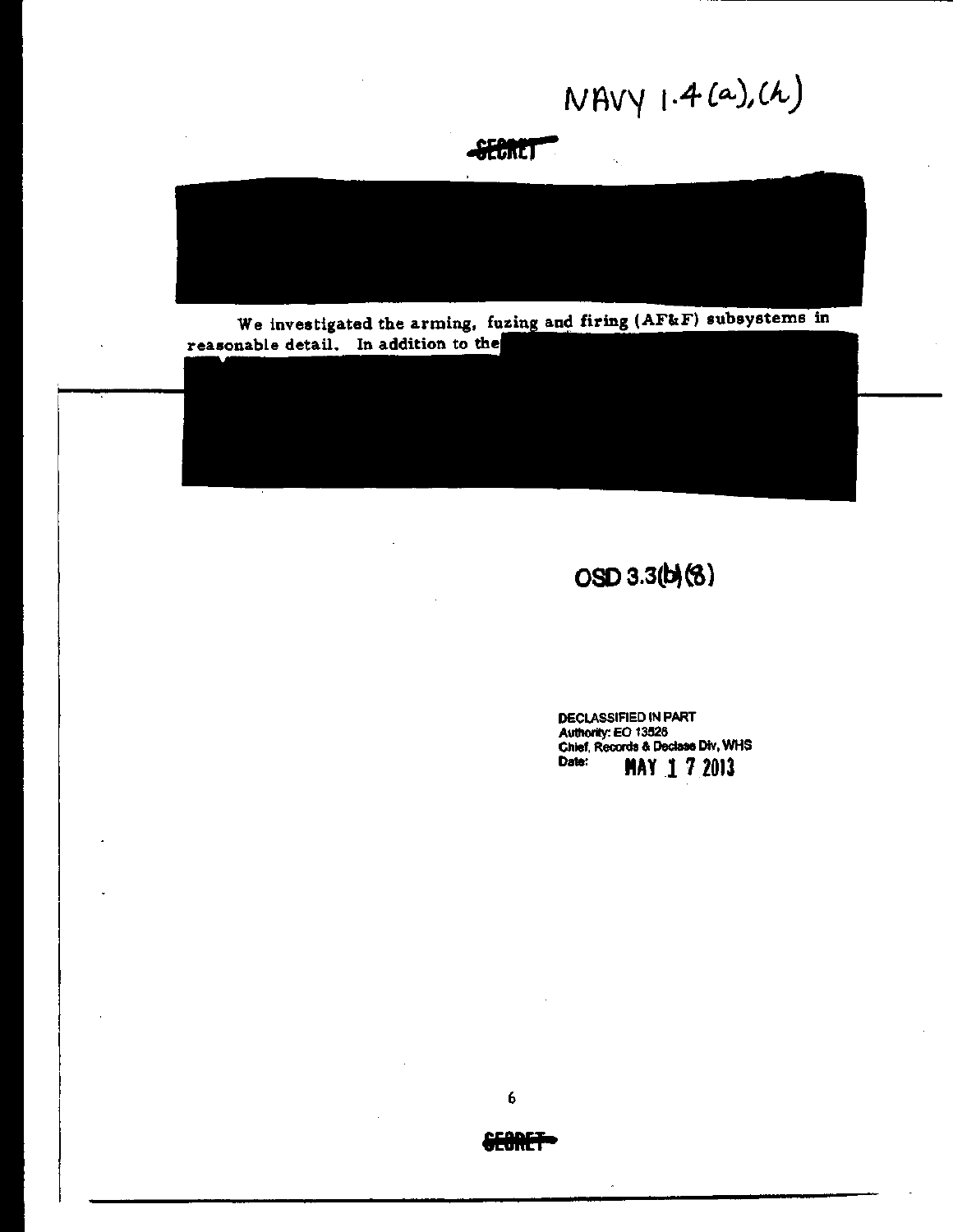NAVY 1.4 (a), (h)

**SECRET** 

We investigated the arming, fuzing and firing (AF&F) subsystems in reasonable detail. In addition to the

OSD 3.3(b)(8)

DECLASSIFIED IN PART Authority: EO 13526<br>Chief, Records & Declase Div, WHS **MAY 172013** Date:



6